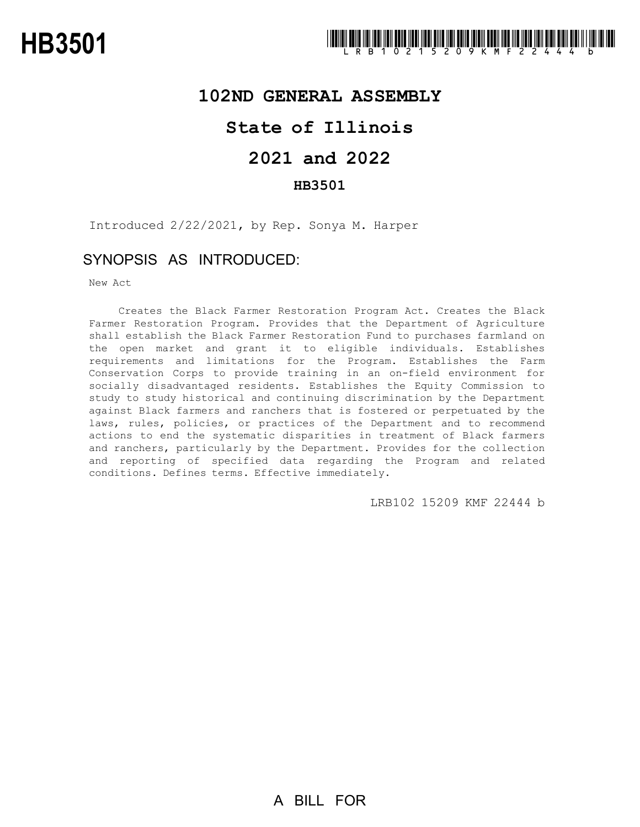## **102ND GENERAL ASSEMBLY**

## **State of Illinois**

# **2021 and 2022**

#### **HB3501**

Introduced 2/22/2021, by Rep. Sonya M. Harper

## SYNOPSIS AS INTRODUCED:

New Act

Creates the Black Farmer Restoration Program Act. Creates the Black Farmer Restoration Program. Provides that the Department of Agriculture shall establish the Black Farmer Restoration Fund to purchases farmland on the open market and grant it to eligible individuals. Establishes requirements and limitations for the Program. Establishes the Farm Conservation Corps to provide training in an on-field environment for socially disadvantaged residents. Establishes the Equity Commission to study to study historical and continuing discrimination by the Department against Black farmers and ranchers that is fostered or perpetuated by the laws, rules, policies, or practices of the Department and to recommend actions to end the systematic disparities in treatment of Black farmers and ranchers, particularly by the Department. Provides for the collection and reporting of specified data regarding the Program and related conditions. Defines terms. Effective immediately.

LRB102 15209 KMF 22444 b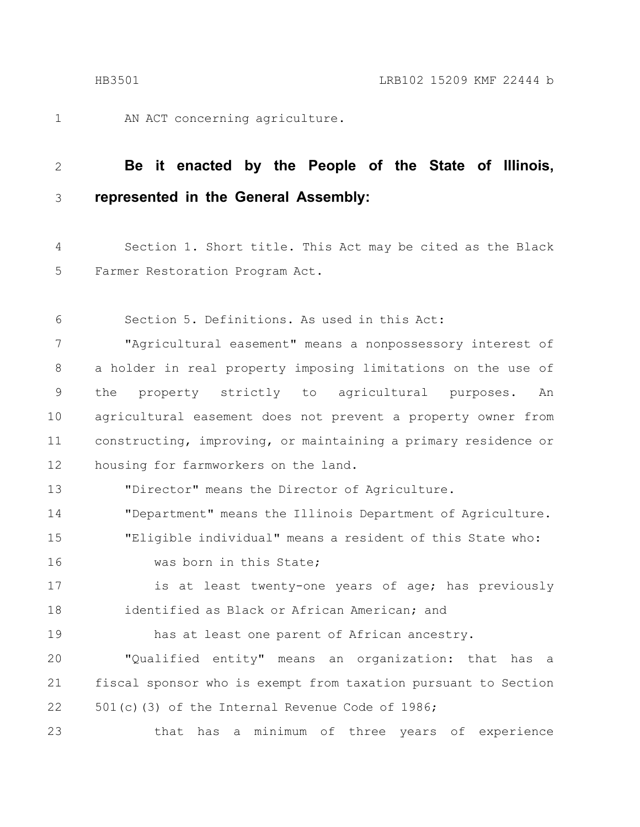1

AN ACT concerning agriculture.

#### **Be it enacted by the People of the State of Illinois, represented in the General Assembly:** 2 3

Section 1. Short title. This Act may be cited as the Black Farmer Restoration Program Act. 4 5

Section 5. Definitions. As used in this Act: 6

"Agricultural easement" means a nonpossessory interest of a holder in real property imposing limitations on the use of the property strictly to agricultural purposes. An agricultural easement does not prevent a property owner from constructing, improving, or maintaining a primary residence or housing for farmworkers on the land. 7 8 9 10 11 12

"Director" means the Director of Agriculture. 13

"Department" means the Illinois Department of Agriculture. 14

"Eligible individual" means a resident of this State who: 15

was born in this State; 16

is at least twenty-one years of age; has previously identified as Black or African American; and 17 18

has at least one parent of African ancestry. 19

"Qualified entity" means an organization: that has a fiscal sponsor who is exempt from taxation pursuant to Section 501(c)(3) of the Internal Revenue Code of 1986; 20 21 22

that has a minimum of three years of experience 23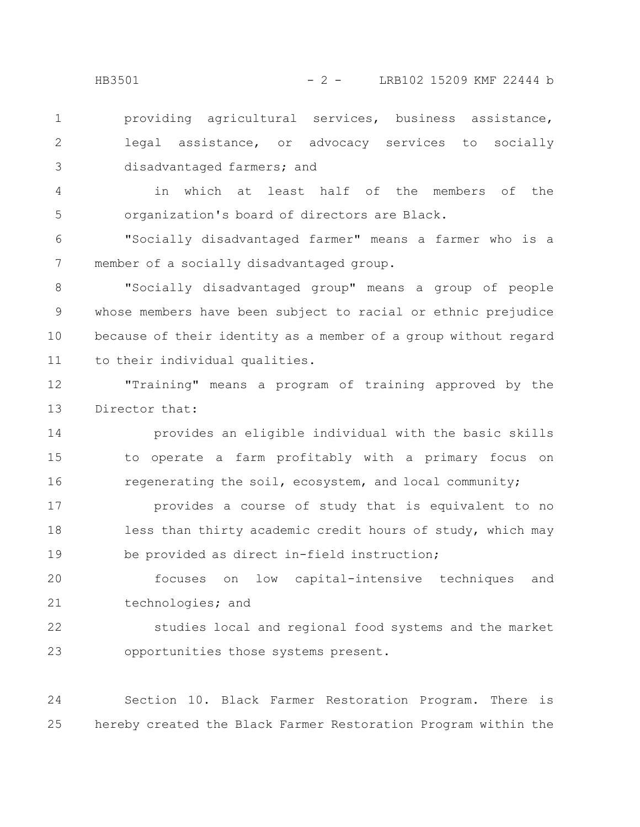providing agricultural services, business assistance, legal assistance, or advocacy services to socially disadvantaged farmers; and 1 2 3

in which at least half of the members of the organization's board of directors are Black. 4 5

"Socially disadvantaged farmer" means a farmer who is a member of a socially disadvantaged group. 6 7

"Socially disadvantaged group" means a group of people whose members have been subject to racial or ethnic prejudice because of their identity as a member of a group without regard to their individual qualities. 8 9 10 11

"Training" means a program of training approved by the Director that: 12 13

provides an eligible individual with the basic skills to operate a farm profitably with a primary focus on regenerating the soil, ecosystem, and local community; 14 15 16

provides a course of study that is equivalent to no less than thirty academic credit hours of study, which may be provided as direct in-field instruction; 17 18 19

focuses on low capital-intensive techniques and technologies; and 20 21

studies local and regional food systems and the market opportunities those systems present. 22 23

Section 10. Black Farmer Restoration Program. There is hereby created the Black Farmer Restoration Program within the 24 25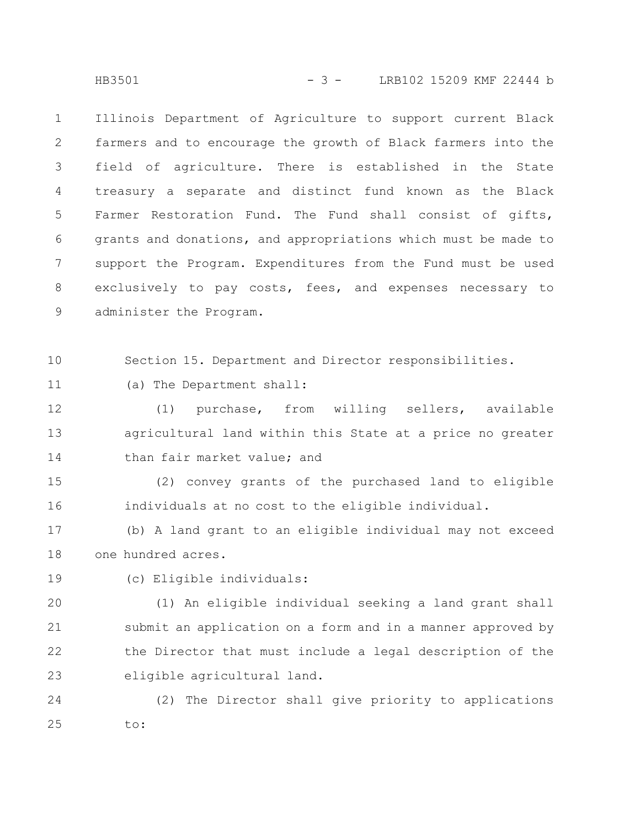HB3501 - 3 - LRB102 15209 KMF 22444 b

Illinois Department of Agriculture to support current Black farmers and to encourage the growth of Black farmers into the field of agriculture. There is established in the State treasury a separate and distinct fund known as the Black Farmer Restoration Fund. The Fund shall consist of gifts, grants and donations, and appropriations which must be made to support the Program. Expenditures from the Fund must be used exclusively to pay costs, fees, and expenses necessary to administer the Program. 1 2 3 4 5 6 7 8 9

Section 15. Department and Director responsibilities. 10

(a) The Department shall: 11

(1) purchase, from willing sellers, available agricultural land within this State at a price no greater than fair market value; and 12 13 14

(2) convey grants of the purchased land to eligible individuals at no cost to the eligible individual. 15 16

(b) A land grant to an eligible individual may not exceed one hundred acres. 17 18

19

(c) Eligible individuals:

(1) An eligible individual seeking a land grant shall submit an application on a form and in a manner approved by the Director that must include a legal description of the eligible agricultural land. 20 21 22 23

(2) The Director shall give priority to applications to: 24 25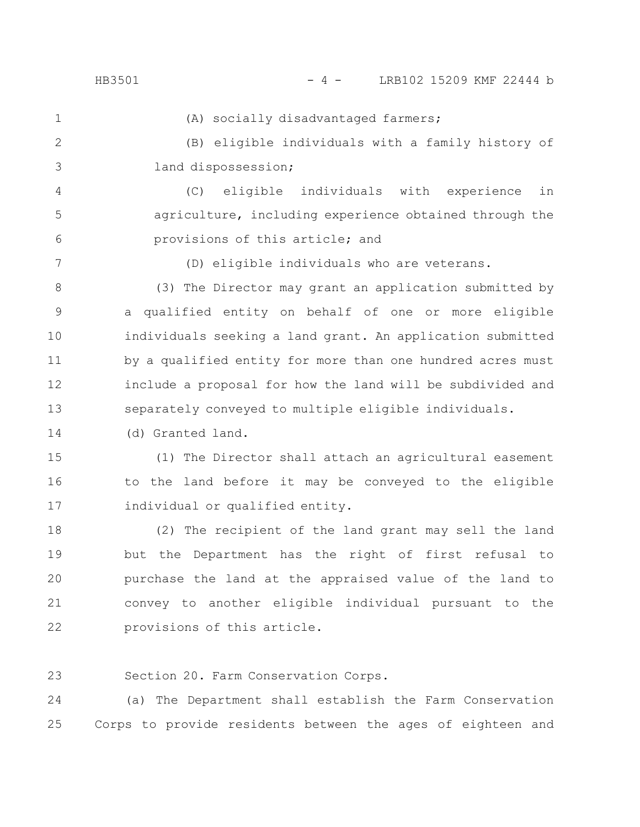| $\mathbf{1}$   | (A) socially disadvantaged farmers;                        |
|----------------|------------------------------------------------------------|
| $\mathbf{2}$   | (B) eligible individuals with a family history of          |
| 3              | land dispossession;                                        |
| 4              | (C) eligible individuals with experience<br>in             |
| 5              | agriculture, including experience obtained through the     |
| 6              | provisions of this article; and                            |
| $\overline{7}$ | (D) eligible individuals who are veterans.                 |
| $8\,$          | (3) The Director may grant an application submitted by     |
| $\mathcal{G}$  | a qualified entity on behalf of one or more eligible       |
| 10             | individuals seeking a land grant. An application submitted |
| 11             | by a qualified entity for more than one hundred acres must |
| 12             | include a proposal for how the land will be subdivided and |
| 13             | separately conveyed to multiple eligible individuals.      |
| 14             | (d) Granted land.                                          |
| 15             | (1) The Director shall attach an agricultural easement     |
| 16             | to the land before it may be conveyed to the eligible      |
| 17             | individual or qualified entity.                            |
| 18             | (2) The recipient of the land grant may sell the land      |
| 19             | but the Department has the right of first refusal to       |
| 20             | purchase the land at the appraised value of the land to    |
| 21             | convey to another eligible individual pursuant to the      |
| 22             | provisions of this article.                                |
|                |                                                            |
| 23             | Section 20. Farm Conservation Corps.                       |
| 24             | (a) The Department shall establish the Farm Conservation   |

Corps to provide residents between the ages of eighteen and 25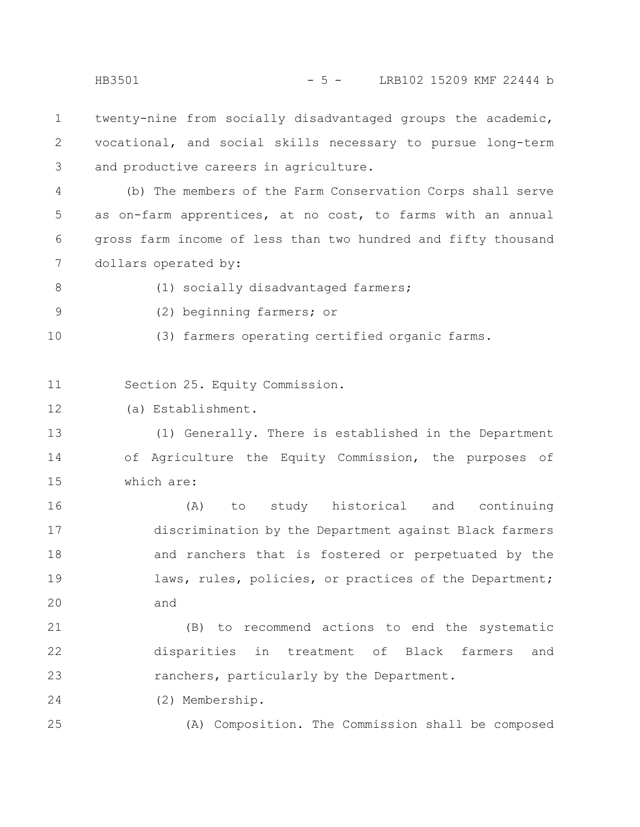twenty-nine from socially disadvantaged groups the academic, vocational, and social skills necessary to pursue long-term and productive careers in agriculture. 1 2 3

(b) The members of the Farm Conservation Corps shall serve as on-farm apprentices, at no cost, to farms with an annual gross farm income of less than two hundred and fifty thousand dollars operated by: 4 5 6 7

- (1) socially disadvantaged farmers; 8
- 9

25

(2) beginning farmers; or

(3) farmers operating certified organic farms. 10

Section 25. Equity Commission. 11

(a) Establishment. 12

(1) Generally. There is established in the Department of Agriculture the Equity Commission, the purposes of which are: 13 14 15

(A) to study historical and continuing discrimination by the Department against Black farmers and ranchers that is fostered or perpetuated by the laws, rules, policies, or practices of the Department; and 16 17 18 19 20

(B) to recommend actions to end the systematic disparities in treatment of Black farmers and ranchers, particularly by the Department. 21 22 23

(2) Membership. 24

(A) Composition. The Commission shall be composed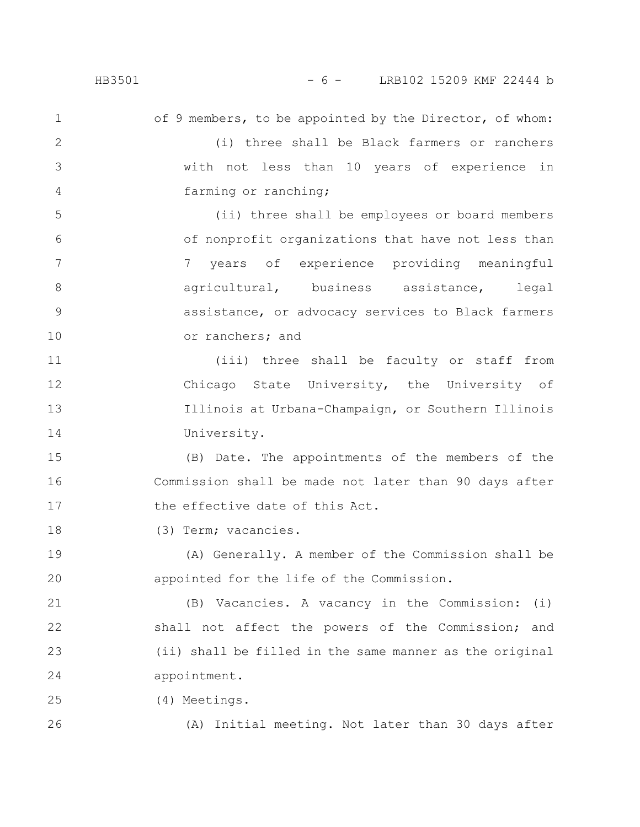of 9 members, to be appointed by the Director, of whom: (i) three shall be Black farmers or ranchers with not less than 10 years of experience in farming or ranching; (ii) three shall be employees or board members of nonprofit organizations that have not less than 7 years of experience providing meaningful agricultural, business assistance, legal assistance, or advocacy services to Black farmers or ranchers; and (iii) three shall be faculty or staff from Chicago State University, the University of Illinois at Urbana-Champaign, or Southern Illinois University. (B) Date. The appointments of the members of the Commission shall be made not later than 90 days after the effective date of this Act. (3) Term; vacancies. (A) Generally. A member of the Commission shall be appointed for the life of the Commission. (B) Vacancies. A vacancy in the Commission: (i) shall not affect the powers of the Commission; and (ii) shall be filled in the same manner as the original appointment. (4) Meetings. (A) Initial meeting. Not later than 30 days after 1 2 3 4 5 6 7 8 9 10 11 12 13 14 15 16 17 18 19 20 21 22 23 24 25 26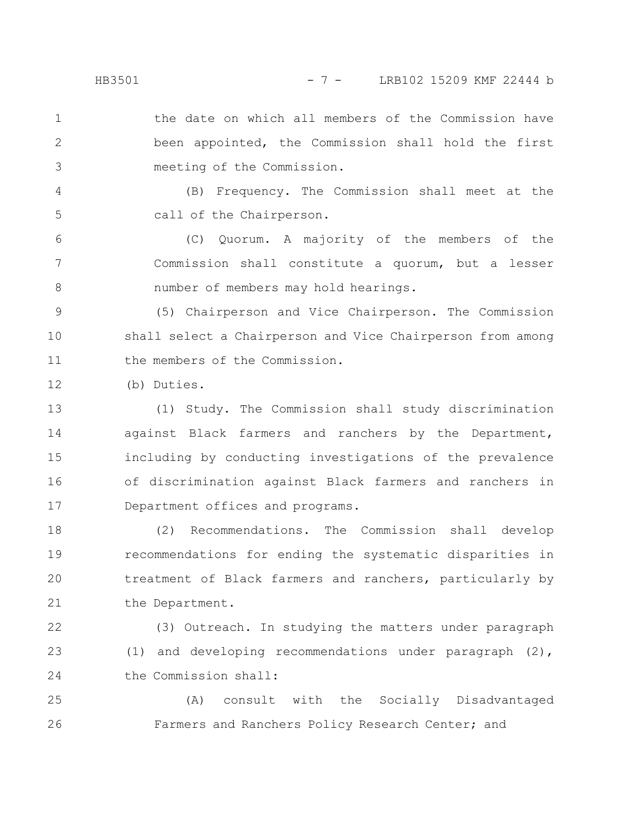the date on which all members of the Commission have been appointed, the Commission shall hold the first meeting of the Commission.

(B) Frequency. The Commission shall meet at the call of the Chairperson. 4 5

(C) Quorum. A majority of the members of the Commission shall constitute a quorum, but a lesser number of members may hold hearings. 6 7 8

(5) Chairperson and Vice Chairperson. The Commission shall select a Chairperson and Vice Chairperson from among the members of the Commission. 9 10 11

(b) Duties. 12

(1) Study. The Commission shall study discrimination against Black farmers and ranchers by the Department, including by conducting investigations of the prevalence of discrimination against Black farmers and ranchers in Department offices and programs. 13 14 15 16 17

(2) Recommendations. The Commission shall develop recommendations for ending the systematic disparities in treatment of Black farmers and ranchers, particularly by the Department. 18 19 20 21

(3) Outreach. In studying the matters under paragraph (1) and developing recommendations under paragraph (2), the Commission shall: 22 23 24

(A) consult with the Socially Disadvantaged Farmers and Ranchers Policy Research Center; and 25 26

1

2

3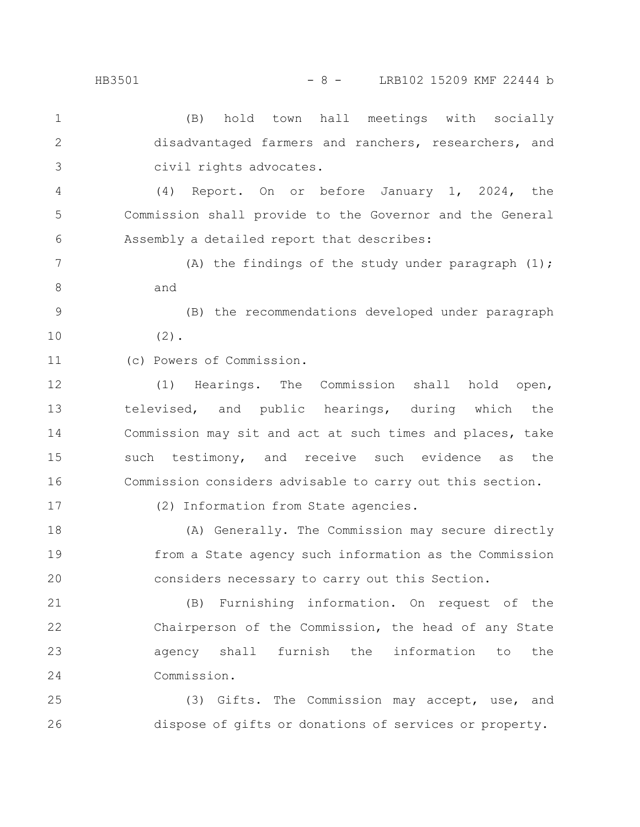#### HB3501 - 8 - LRB102 15209 KMF 22444 b

(B) hold town hall meetings with socially disadvantaged farmers and ranchers, researchers, and civil rights advocates. (4) Report. On or before January 1, 2024, the Commission shall provide to the Governor and the General Assembly a detailed report that describes: (A) the findings of the study under paragraph  $(1)$ ; and (B) the recommendations developed under paragraph  $(2)$ . (c) Powers of Commission. (1) Hearings. The Commission shall hold open, televised, and public hearings, during which the Commission may sit and act at such times and places, take such testimony, and receive such evidence as the Commission considers advisable to carry out this section. (2) Information from State agencies. (A) Generally. The Commission may secure directly from a State agency such information as the Commission considers necessary to carry out this Section. (B) Furnishing information. On request of the Chairperson of the Commission, the head of any State agency shall furnish the information to the Commission. (3) Gifts. The Commission may accept, use, and dispose of gifts or donations of services or property. 1 2 3 4 5 6 7 8 9 10 11 12 13 14 15 16 17 18 19 20 21 22 23 24 25 26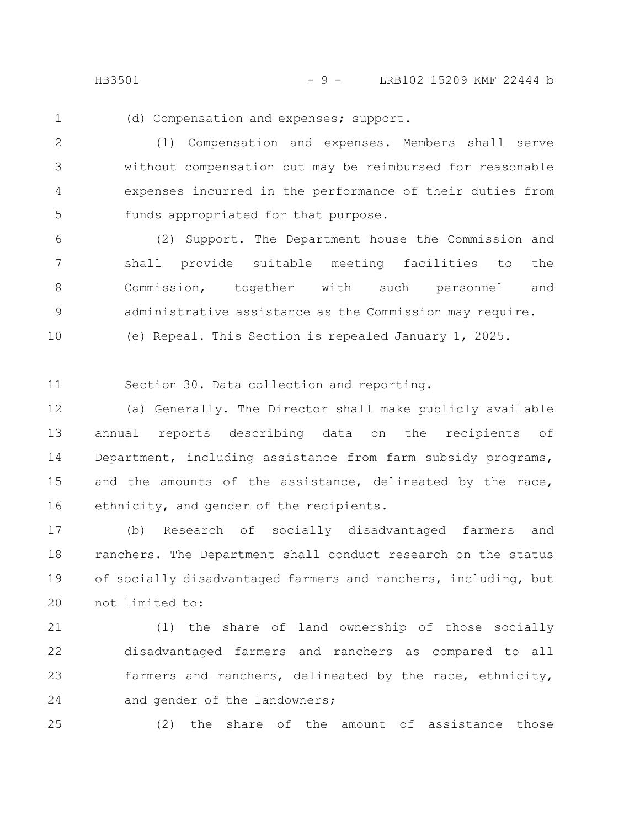HB3501 - 9 - LRB102 15209 KMF 22444 b

1

(d) Compensation and expenses; support.

(1) Compensation and expenses. Members shall serve without compensation but may be reimbursed for reasonable expenses incurred in the performance of their duties from funds appropriated for that purpose. 2 3 4 5

(2) Support. The Department house the Commission and shall provide suitable meeting facilities to the Commission, together with such personnel and administrative assistance as the Commission may require. (e) Repeal. This Section is repealed January 1, 2025. 6 7 8 9 10

Section 30. Data collection and reporting. 11

(a) Generally. The Director shall make publicly available annual reports describing data on the recipients of Department, including assistance from farm subsidy programs, and the amounts of the assistance, delineated by the race, ethnicity, and gender of the recipients. 12 13 14 15 16

(b) Research of socially disadvantaged farmers and ranchers. The Department shall conduct research on the status of socially disadvantaged farmers and ranchers, including, but not limited to: 17 18 19 20

(1) the share of land ownership of those socially disadvantaged farmers and ranchers as compared to all farmers and ranchers, delineated by the race, ethnicity, and gender of the landowners; 21 22 23 24

25

(2) the share of the amount of assistance those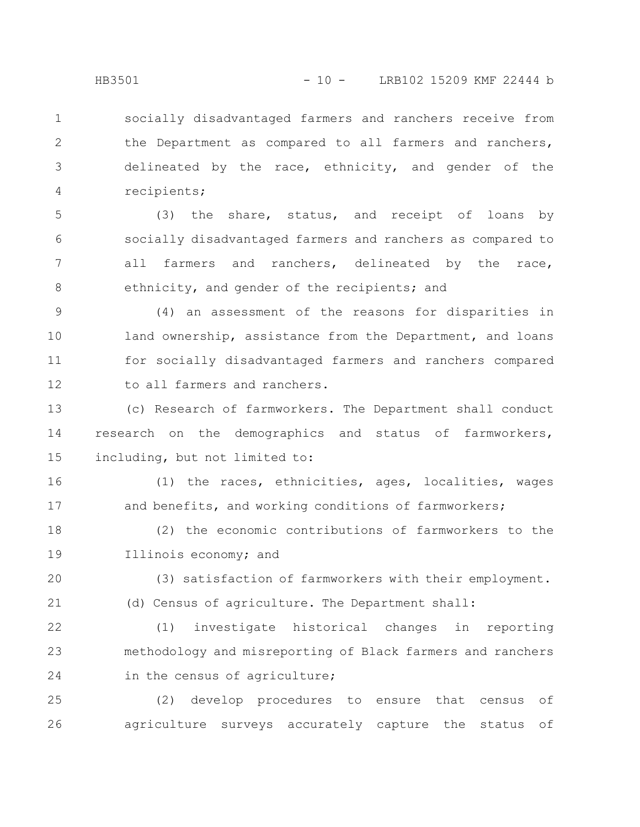socially disadvantaged farmers and ranchers receive from the Department as compared to all farmers and ranchers, delineated by the race, ethnicity, and gender of the recipients; 1 2 3 4

(3) the share, status, and receipt of loans by socially disadvantaged farmers and ranchers as compared to all farmers and ranchers, delineated by the race, ethnicity, and gender of the recipients; and 5 6 7 8

(4) an assessment of the reasons for disparities in land ownership, assistance from the Department, and loans for socially disadvantaged farmers and ranchers compared to all farmers and ranchers. 9 10 11 12

(c) Research of farmworkers. The Department shall conduct research on the demographics and status of farmworkers, including, but not limited to: 13 14 15

(1) the races, ethnicities, ages, localities, wages and benefits, and working conditions of farmworkers; 16 17

(2) the economic contributions of farmworkers to the Illinois economy; and 18 19

(3) satisfaction of farmworkers with their employment. (d) Census of agriculture. The Department shall: 20 21

(1) investigate historical changes in reporting methodology and misreporting of Black farmers and ranchers in the census of agriculture; 22 23 24

(2) develop procedures to ensure that census of agriculture surveys accurately capture the status of 25 26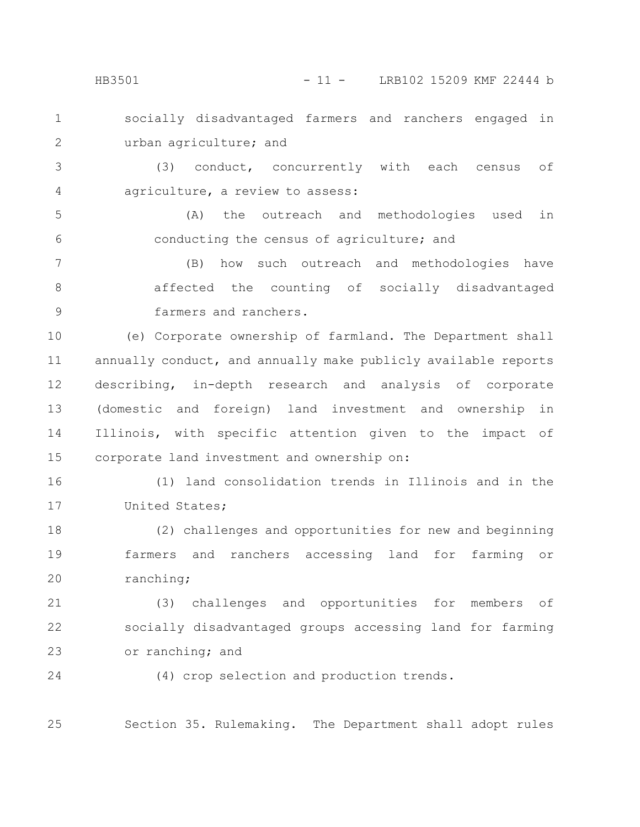HB3501 - 11 - LRB102 15209 KMF 22444 b

socially disadvantaged farmers and ranchers engaged in urban agriculture; and 1 2

(3) conduct, concurrently with each census of agriculture, a review to assess: 3 4

(A) the outreach and methodologies used in conducting the census of agriculture; and 5 6

(B) how such outreach and methodologies have affected the counting of socially disadvantaged farmers and ranchers. 7 8 9

(e) Corporate ownership of farmland. The Department shall annually conduct, and annually make publicly available reports describing, in-depth research and analysis of corporate (domestic and foreign) land investment and ownership in Illinois, with specific attention given to the impact of corporate land investment and ownership on: 10 11 12 13 14 15

(1) land consolidation trends in Illinois and in the United States; 16 17

(2) challenges and opportunities for new and beginning farmers and ranchers accessing land for farming or ranching; 18 19 20

(3) challenges and opportunities for members of socially disadvantaged groups accessing land for farming or ranching; and 21 22 23

24

(4) crop selection and production trends.

Section 35. Rulemaking. The Department shall adopt rules 25